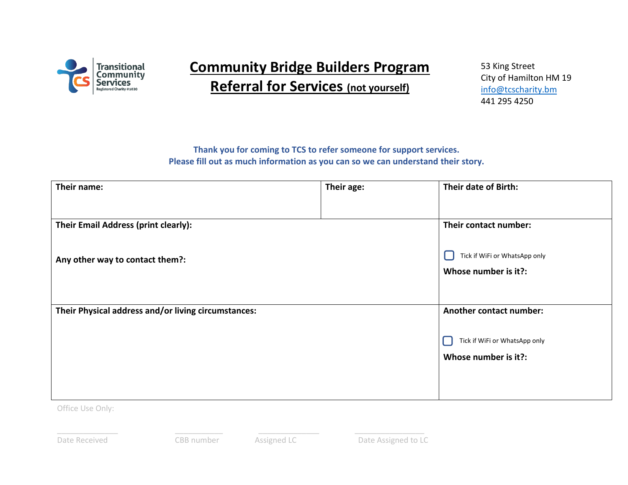

## **Community Bridge Builders Program Referral for Services (not yourself)**

53 King Street City of Hamilton HM 19 [info@tcscharity.bm](mailto:info@tcscharity.bm) 441 295 4250

## **Thank you for coming to TCS to refer someone for support services. Please fill out as much information as you can so we can understand their story.**

| Their name:                                         | Their age: | Their date of Birth:                                  |
|-----------------------------------------------------|------------|-------------------------------------------------------|
|                                                     |            |                                                       |
| Their Email Address (print clearly):                |            | Their contact number:                                 |
| Any other way to contact them?:                     |            | Tick if WiFi or WhatsApp only<br>Whose number is it?: |
| Their Physical address and/or living circumstances: |            | <b>Another contact number:</b>                        |
|                                                     |            | Tick if WiFi or WhatsApp only<br>Whose number is it?: |

Office Use Only:

\_\_\_\_\_\_\_\_\_\_\_\_\_\_ \_\_\_\_\_\_\_\_\_\_\_ \_\_\_\_\_\_\_\_\_\_\_\_\_\_ \_\_\_\_\_\_\_\_\_\_\_\_\_\_\_\_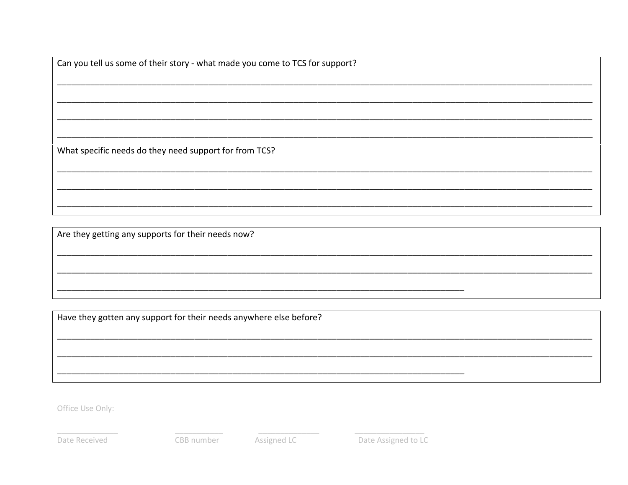Can you tell us some of their story - what made you come to TCS for support?

What specific needs do they need support for from TCS?

Are they getting any supports for their needs now?

Have they gotten any support for their needs anywhere else before?

Office Use Only:

Date Received